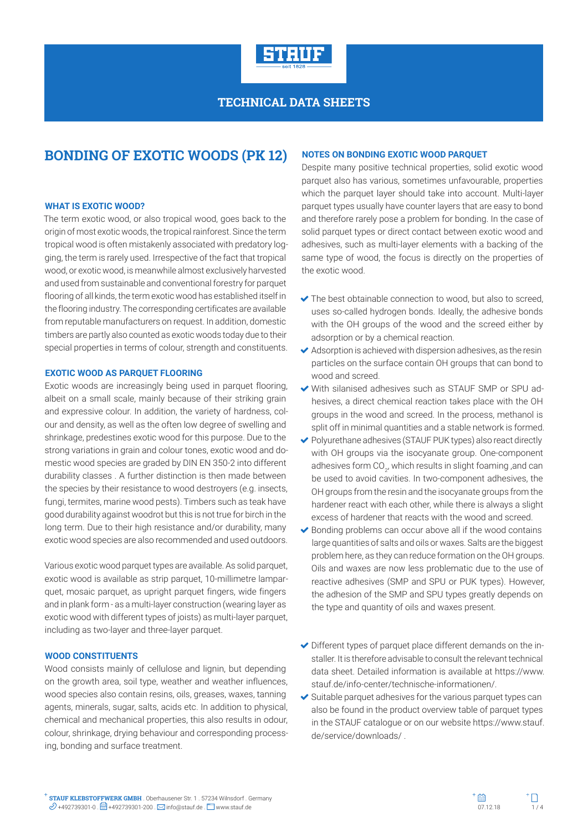

# **BONDING OF EXOTIC WOODS (PK 12)**

#### **WHAT IS EXOTIC WOOD?**

The term exotic wood, or also tropical wood, goes back to the origin of most exotic woods, the tropical rainforest. Since the term tropical wood is often mistakenly associated with predatory logging, the term is rarely used. Irrespective of the fact that tropical wood, or exotic wood, is meanwhile almost exclusively harvested and used from sustainable and conventional forestry for parquet flooring of all kinds, the term exotic wood has established itself in the flooring industry. The corresponding certificates are available from reputable manufacturers on request. In addition, domestic timbers are partly also counted as exotic woods today due to their special properties in terms of colour, strength and constituents.

### **EXOTIC WOOD AS PARQUET FLOORING**

Exotic woods are increasingly being used in parquet flooring, albeit on a small scale, mainly because of their striking grain and expressive colour. In addition, the variety of hardness, colour and density, as well as the often low degree of swelling and shrinkage, predestines exotic wood for this purpose. Due to the strong variations in grain and colour tones, exotic wood and domestic wood species are graded by DIN EN 350-2 into different durability classes . A further distinction is then made between the species by their resistance to wood destroyers (e.g. insects, fungi, termites, marine wood pests). Timbers such as teak have good durability against woodrot but this is not true for birch in the long term. Due to their high resistance and/or durability, many exotic wood species are also recommended and used outdoors.

Various exotic wood parquet types are available. As solid parquet, exotic wood is available as strip parquet, 10-millimetre lamparquet, mosaic parquet, as upright parquet fingers, wide fingers and in plank form - as a multi-layer construction (wearing layer as exotic wood with different types of joists) as multi-layer parquet, including as two-layer and three-layer parquet.

#### **WOOD CONSTITUENTS**

Wood consists mainly of cellulose and lignin, but depending on the growth area, soil type, weather and weather influences, wood species also contain resins, oils, greases, waxes, tanning agents, minerals, sugar, salts, acids etc. In addition to physical, chemical and mechanical properties, this also results in odour, colour, shrinkage, drying behaviour and corresponding processing, bonding and surface treatment.

#### **NOTES ON BONDING EXOTIC WOOD PARQUET**

Despite many positive technical properties, solid exotic wood parquet also has various, sometimes unfavourable, properties which the parquet layer should take into account. Multi-layer parquet types usually have counter layers that are easy to bond and therefore rarely pose a problem for bonding. In the case of solid parquet types or direct contact between exotic wood and adhesives, such as multi-layer elements with a backing of the same type of wood, the focus is directly on the properties of the exotic wood.

- ◆ The best obtainable connection to wood, but also to screed, uses so-called hydrogen bonds. Ideally, the adhesive bonds with the OH groups of the wood and the screed either by adsorption or by a chemical reaction.
- $\blacktriangleright$  Adsorption is achieved with dispersion adhesives, as the resin particles on the surface contain OH groups that can bond to wood and screed.
- With silanised adhesives such as STAUF SMP or SPU adhesives, a direct chemical reaction takes place with the OH groups in the wood and screed. In the process, methanol is split off in minimal quantities and a stable network is formed.
- Polyurethane adhesives (STAUF PUK types) also react directly with OH groups via the isocyanate group. One-component adhesives form CO<sub>2</sub>, which results in slight foaming ,and can be used to avoid cavities. In two-component adhesives, the OH groups from the resin and the isocyanate groups from the hardener react with each other, while there is always a slight excess of hardener that reacts with the wood and screed.
- $\triangleright$  Bonding problems can occur above all if the wood contains large quantities of salts and oils or waxes. Salts are the biggest problem here, as they can reduce formation on the OH groups. Oils and waxes are now less problematic due to the use of reactive adhesives (SMP and SPU or PUK types). However, the adhesion of the SMP and SPU types greatly depends on the type and quantity of oils and waxes present.
- Different types of parquet place different demands on the installer. It is therefore advisable to consult the relevant technical data sheet. Detailed information is available at https://www. stauf.de/info-center/technische-informationen/.
- $\blacktriangleright$  Suitable parquet adhesives for the various parquet types can also be found in the product overview table of parquet types in the STAUF catalogue or on our website https://www.stauf. de/service/downloads/ .

**STAUF KLEBSTOFFWERK GMBH** . Oberhausener Str. 1 . 57234 Wilnsdorf . Germany **STAUF KLEBSTOFFWERK GMBH** . Oberhausener Str. 1 . 57234 Wilnsdorf . Germany  $\mathscr{D}$  +492739301-0 .  $\Box$  +492739301-200 .  $\boxtimes$  info@stauf.de .  $\Box$  www.stauf.de .  $\Box$  www.stauf.de .  $\Box$  . 1 / 4

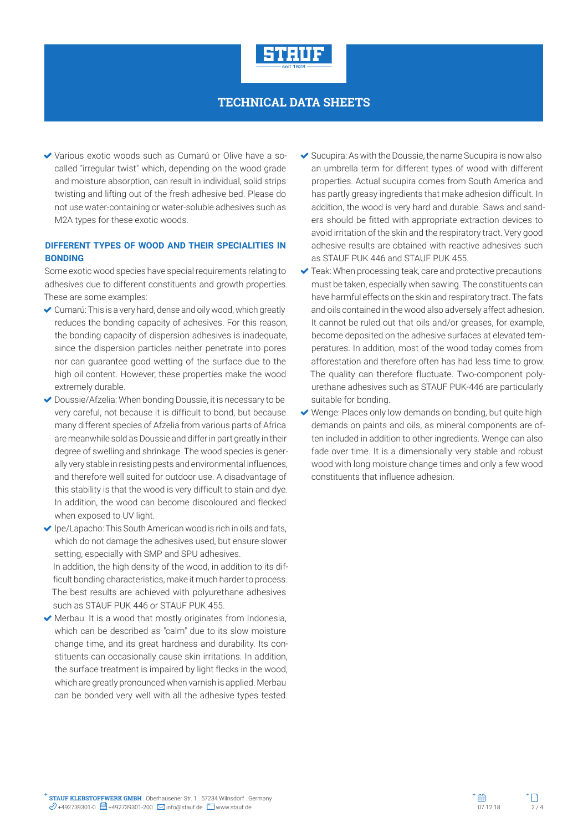

 Various exotic woods such as Cumarú or Olive have a socalled "irregular twist" which, depending on the wood grade and moisture absorption, can result in individual, solid strips twisting and lifting out of the fresh adhesive bed. Please do not use water-containing or water-soluble adhesives such as M2A types for these exotic woods.

### **DIFFERENT TYPES OF WOOD AND THEIR SPECIALITIES IN BONDING**

Some exotic wood species have special requirements relating to adhesives due to different constituents and growth properties. These are some examples:

- Cumarú: This is a very hard, dense and oily wood, which greatly reduces the bonding capacity of adhesives. For this reason, the bonding capacity of dispersion adhesives is inadequate, since the dispersion particles neither penetrate into pores nor can guarantee good wetting of the surface due to the high oil content. However, these properties make the wood extremely durable.
- Doussie/Afzelia: When bonding Doussie, it is necessary to be very careful, not because it is difficult to bond, but because many different species of Afzelia from various parts of Africa are meanwhile sold as Doussie and differ in part greatly in their degree of swelling and shrinkage. The wood species is generally very stable in resisting pests and environmental influences, and therefore well suited for outdoor use. A disadvantage of this stability is that the wood is very difficult to stain and dye. In addition, the wood can become discoloured and flecked when exposed to UV light.
- $\blacktriangleright$  Ipe/Lapacho: This South American wood is rich in oils and fats, which do not damage the adhesives used, but ensure slower setting, especially with SMP and SPU adhesives. In addition, the high density of the wood, in addition to its dif-

ficult bonding characteristics, make it much harder to process. The best results are achieved with polyurethane adhesives such as STAUF PUK 446 or STAUF PUK 455.

 Merbau: It is a wood that mostly originates from Indonesia, which can be described as "calm" due to its slow moisture change time, and its great hardness and durability. Its constituents can occasionally cause skin irritations. In addition, the surface treatment is impaired by light flecks in the wood, which are greatly pronounced when varnish is applied. Merbau can be bonded very well with all the adhesive types tested.

- $\blacktriangleright$  Sucupira: As with the Doussie, the name Sucupira is now also an umbrella term for different types of wood with different properties. Actual sucupira comes from South America and has partly greasy ingredients that make adhesion difficult. In addition, the wood is very hard and durable. Saws and sanders should be fitted with appropriate extraction devices to avoid irritation of the skin and the respiratory tract. Very good adhesive results are obtained with reactive adhesives such as STAUF PUK 446 and STAUF PUK 455.
- ◆ Teak: When processing teak, care and protective precautions must be taken, especially when sawing. The constituents can have harmful effects on the skin and respiratory tract. The fats and oils contained in the wood also adversely affect adhesion. It cannot be ruled out that oils and/or greases, for example, become deposited on the adhesive surfaces at elevated temperatures. In addition, most of the wood today comes from afforestation and therefore often has had less time to grow. The quality can therefore fluctuate. Two-component polyurethane adhesives such as STAUF PUK-446 are particularly suitable for bonding.
- $\vee$  Wenge: Places only low demands on bonding, but quite high demands on paints and oils, as mineral components are often included in addition to other ingredients. Wenge can also fade over time. It is a dimensionally very stable and robust wood with long moisture change times and only a few wood constituents that influence adhesion.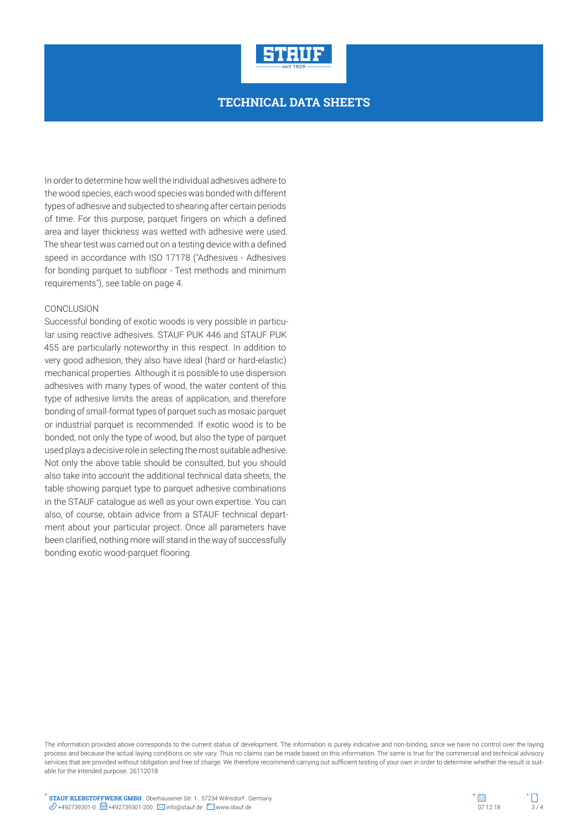

In order to determine how well the individual adhesives adhere to the wood species, each wood species was bonded with different types of adhesive and subjected to shearing after certain periods of time. For this purpose, parquet fingers on which a defined area and layer thickness was wetted with adhesive were used. The shear test was carried out on a testing device with a defined speed in accordance with ISO 17178 ("Adhesives - Adhesives for bonding parquet to subfloor - Test methods and minimum requirements"), see table on page 4.

#### CONCLUSION

Successful bonding of exotic woods is very possible in particular using reactive adhesives. STAUF PUK 446 and STAUF PUK 455 are particularly noteworthy in this respect. In addition to very good adhesion, they also have ideal (hard or hard-elastic) mechanical properties. Although it is possible to use dispersion adhesives with many types of wood, the water content of this type of adhesive limits the areas of application, and therefore bonding of small-format types of parquet such as mosaic parquet or industrial parquet is recommended. If exotic wood is to be bonded, not only the type of wood, but also the type of parquet used plays a decisive role in selecting the most suitable adhesive. Not only the above table should be consulted, but you should also take into account the additional technical data sheets, the table showing parquet type to parquet adhesive combinations in the STAUF catalogue as well as your own expertise. You can also, of course, obtain advice from a STAUF technical department about your particular project. Once all parameters have been clarified, nothing more will stand in the way of successfully bonding exotic wood-parquet flooring.

The information provided above corresponds to the current status of development. The information is purely indicative and non-binding, since we have no control over the laying process and because the actual laying conditions on site vary. Thus no claims can be made based on this information. The same is true for the commercial and technical advisory services that are provided without obligation and free of charge. We therefore recommend carrying out sufficient testing of your own in order to determine whether the result is suitable for the intended purpose. 26112018